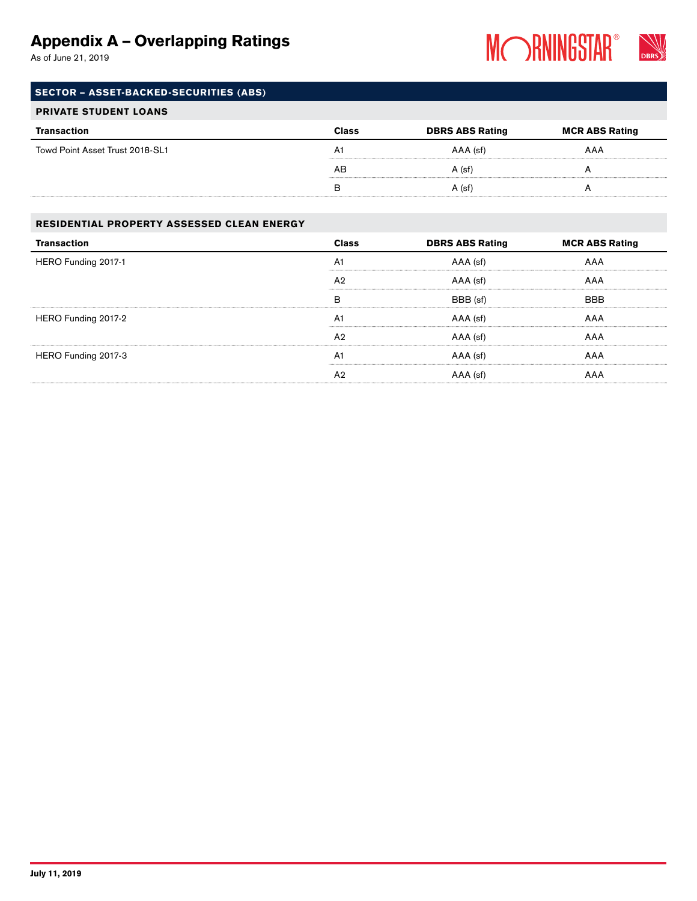As of June 21, 2019



### SECTOR – ASSET-BACKED-SECURITIES (ABS)

#### PRIVATE STUDENT LOANS

| Transaction                     | <b>Class</b> | <b>DBRS ABS Rating</b> | <b>MCR ABS Rating</b> |
|---------------------------------|--------------|------------------------|-----------------------|
| Towd Point Asset Trust 2018-SL1 | A1           | AAA (sf)               | AAA                   |
|                                 | AB           | $A$ (sf)               |                       |
|                                 | в            | A (sf)                 |                       |

#### RESIDENTIAL PROPERTY ASSESSED CLEAN ENERGY

| <b>Transaction</b>  | <b>Class</b>   | <b>DBRS ABS Rating</b> | <b>MCR ABS Rating</b> |
|---------------------|----------------|------------------------|-----------------------|
| HERO Funding 2017-1 | A1             | AAA (sf)               | AAA                   |
|                     | A <sub>2</sub> | AAA (sf)               | AAA                   |
|                     | в              | BBB (sf)               | <b>BBB</b>            |
| HERO Funding 2017-2 | A <sub>1</sub> | AAA (sf)               | AAA                   |
|                     | A <sub>2</sub> | AAA (sf)               | AAA                   |
| HERO Funding 2017-3 | A <sub>1</sub> | AAA (sf)               | AAA                   |
|                     | A <sub>2</sub> | AAA (sf)               | AAA                   |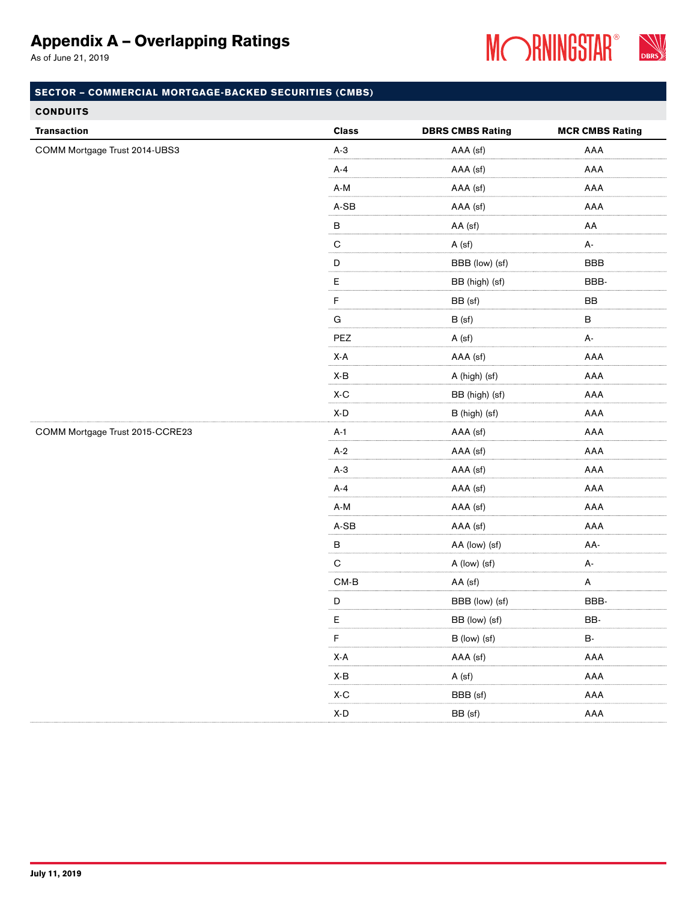As of June 21, 2019



### SECTOR – COMMERCIAL MORTGAGE-BACKED SECURITIES (CMBS)

#### **CONDUITS**

| <b>Transaction</b>              | <b>Class</b>                   | <b>DBRS CMBS Rating</b> | <b>MCR CMBS Rating</b> |
|---------------------------------|--------------------------------|-------------------------|------------------------|
| COMM Mortgage Trust 2014-UBS3   | $A-3$                          | AAA (sf)                | AAA                    |
|                                 | $A - 4$                        | AAA (sf)                | AAA                    |
|                                 | A-M                            | AAA (sf)                | AAA                    |
|                                 | $A-SB$                         | AAA (sf)                | AAA                    |
|                                 | $\sf B$                        | AA (sf)                 | AA                     |
|                                 | $\mathbf C$                    | A (sf)                  | A-                     |
|                                 | D                              | BBB (low) (sf)          | <b>BBB</b>             |
|                                 | $\mathsf E$                    | BB (high) (sf)          | BBB-                   |
|                                 | $\mathsf F$                    | BB (sf)                 | BB                     |
|                                 | ${\bf G}$                      | B (sf)                  | $\sf B$                |
|                                 | PEZ                            | A (sf)                  | А-                     |
|                                 | X-A                            | AAA (sf)                | AAA                    |
|                                 | X-B                            | A (high) (sf)           | AAA                    |
|                                 | $\mathsf{X}\text{-}\mathsf{C}$ | BB (high) (sf)          | AAA                    |
|                                 | $\mathsf{X}\text{-}\mathsf{D}$ | B (high) (sf)           | AAA                    |
| COMM Mortgage Trust 2015-CCRE23 | $A-1$                          | AAA (sf)                | AAA                    |
|                                 | $A-2$                          | AAA (sf)                | AAA                    |
|                                 | $A-3$                          | AAA (sf)                | AAA                    |
|                                 | $A-4$                          | AAA (sf)                | AAA                    |
|                                 | $A-M$                          | AAA (sf)                | AAA                    |
|                                 | $A-SB$                         | AAA (sf)                | AAA                    |
|                                 | $\sf B$                        | AA (low) (sf)           | AA-                    |
|                                 | ${\bf C}$                      | A (low) (sf)            | А-                     |
|                                 | $CM-B$                         | AA (sf)                 | A                      |
|                                 | $\mathsf D$                    | BBB (low) (sf)          | BBB-                   |
|                                 | Е                              | BB (low) (sf)           | BB-                    |
|                                 | F                              | B (low) (sf)            | <b>B-</b>              |
|                                 | $X-A$                          | AAA (sf)                | AAA                    |
|                                 | X-B                            | A (sf)                  | AAA                    |
|                                 | $\mathsf{X}\text{-}\mathsf{C}$ | BBB (sf)                | AAA                    |
|                                 | $\mathsf{X}\text{-}\mathsf{D}$ | BB (sf)                 | AAA                    |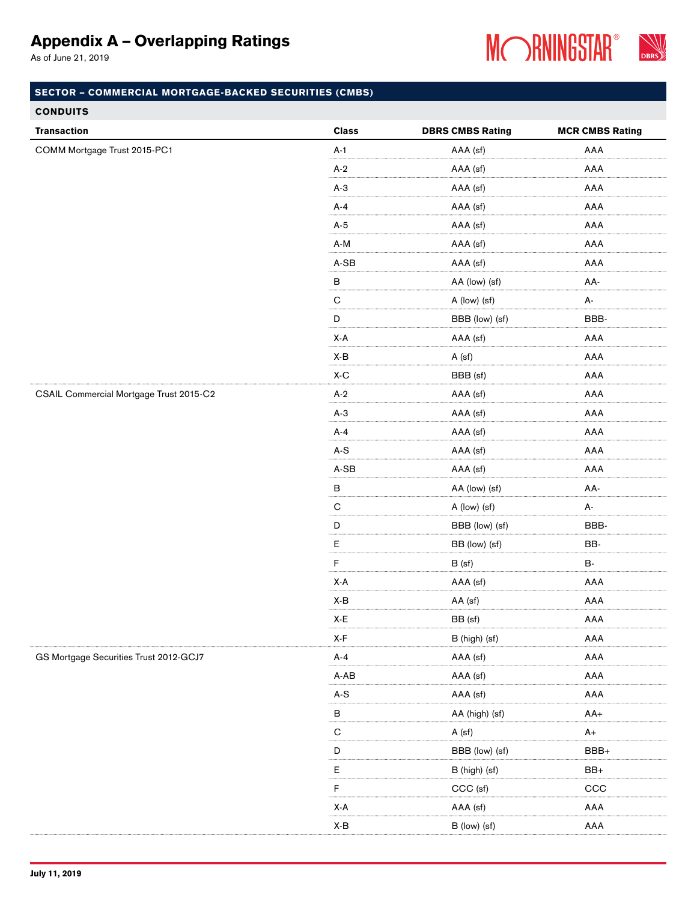As of June 21, 2019



| <b>Transaction</b>                      | <b>Class</b>                   | <b>DBRS CMBS Rating</b> | <b>MCR CMBS Rating</b> |
|-----------------------------------------|--------------------------------|-------------------------|------------------------|
| COMM Mortgage Trust 2015-PC1            | $A-1$                          | AAA (sf)                | AAA                    |
|                                         | $A-2$                          | AAA (sf)                | AAA                    |
|                                         | $A-3$                          | AAA (sf)                | AAA                    |
|                                         | $A-4$                          | AAA (sf)                | AAA                    |
|                                         | $A-5$                          | AAA (sf)                | AAA                    |
|                                         | $\mathsf{A}\text{-}\mathsf{M}$ | AAA (sf)                | AAA                    |
|                                         | $A-SB$                         | AAA (sf)                | AAA                    |
|                                         | $\sf B$                        | AA (low) (sf)           | AA-                    |
|                                         | ${\bf C}$                      | A (low) (sf)            | A-                     |
|                                         | $\mathsf D$                    | BBB (low) (sf)          | BBB-                   |
|                                         | X-A                            | AAA (sf)                | AAA                    |
|                                         | X-B                            | A (sf)                  | AAA                    |
|                                         | $\mathsf{X}\text{-}\mathsf{C}$ | BBB (sf)                | AAA                    |
| CSAIL Commercial Mortgage Trust 2015-C2 | $A-2$                          | AAA (sf)                | AAA                    |
|                                         | $A-3$                          | AAA (sf)                | AAA                    |
|                                         | $A-4$                          | AAA (sf)                | AAA                    |
|                                         | $\mathsf{A}\text{-}\mathsf{S}$ | AAA (sf)                | AAA                    |
|                                         | $A-SB$                         | AAA (sf)                | AAA                    |
|                                         | $\sf B$                        | AA (low) (sf)           | AA-                    |
|                                         | $\mathbf C$                    | A (low) (sf)            | А-                     |
|                                         | D                              | BBB (low) (sf)          | BBB-                   |
|                                         | $\mathsf E$                    | BB (low) (sf)           | BB-                    |
|                                         | F                              | B (sf)                  | <b>B-</b>              |
|                                         | $\mathsf{X}\text{-}\mathsf{A}$ | AAA (sf)                | AAA                    |
|                                         | X-B                            | AA (sf)                 | AAA                    |
|                                         | X-E                            | BB (sf)                 | AAA                    |
|                                         | $\mathsf{X}\text{-}\mathsf{F}$ | B (high) (sf)           | AAA                    |
| GS Mortgage Securities Trust 2012-GCJ7  | $A-4$                          | AAA (sf)                | AAA                    |
|                                         | A-AB                           | AAA (sf)                | AAA                    |
|                                         | $A-S$                          | AAA (sf)                | AAA                    |
|                                         | B                              | AA (high) (sf)          | $AA+$                  |
|                                         | $\mathsf{C}$                   | A (sf)                  | $A+$                   |
|                                         | $\mathsf D$                    | BBB (low) (sf)          | BBB+                   |
|                                         | $\mathsf E$                    | B (high) (sf)           | $BB+$                  |
|                                         | F                              | CCC (sf)                | CCC                    |
|                                         | X-A                            | AAA (sf)                | AAA                    |
|                                         | $\mathsf{X}\text{-}\mathsf{B}$ | B (low) (sf)            | AAA                    |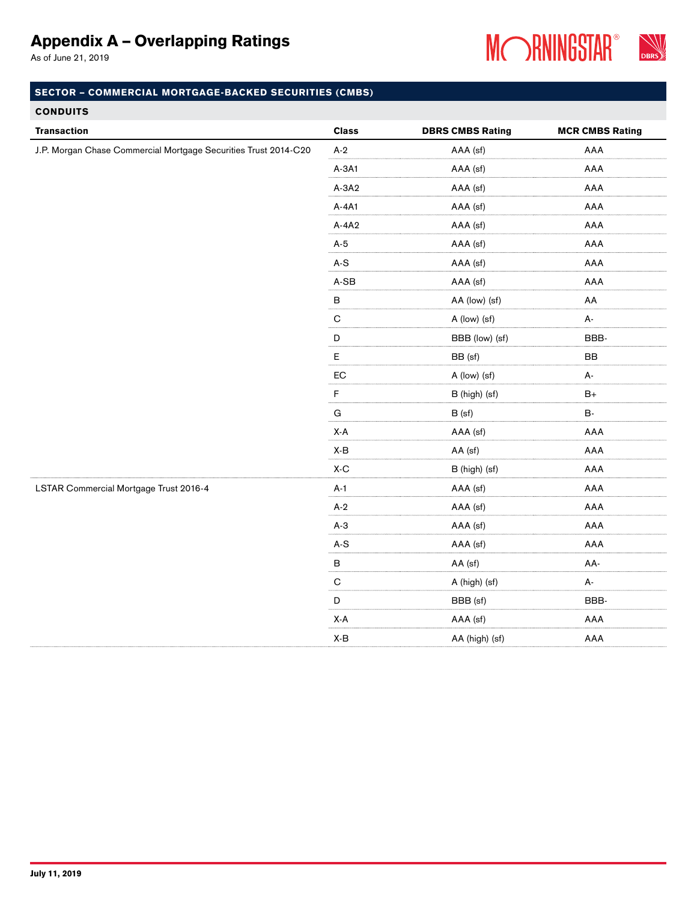As of June 21, 2019



### SECTOR – COMMERCIAL MORTGAGE-BACKED SECURITIES (CMBS)

### **CONDUITS**

| <b>Transaction</b>                                              | <b>Class</b>                              | <b>DBRS CMBS Rating</b> | <b>MCR CMBS Rating</b> |
|-----------------------------------------------------------------|-------------------------------------------|-------------------------|------------------------|
| J.P. Morgan Chase Commercial Mortgage Securities Trust 2014-C20 | $A-2$                                     | AAA (sf)                | AAA                    |
|                                                                 | $A-3A1$                                   | AAA (sf)                | AAA                    |
|                                                                 | $A-3A2$                                   | AAA (sf)                | AAA                    |
|                                                                 | A-4A1                                     | AAA (sf)                | AAA                    |
|                                                                 | $A-4A2$                                   | AAA (sf)                | AAA                    |
|                                                                 | $A-5$                                     | AAA (sf)                | AAA                    |
|                                                                 | $A-S$                                     | AAA (sf)                | AAA                    |
|                                                                 | $\mathsf{A}\text{-}\mathsf{SB}$           | AAA (sf)                | AAA                    |
|                                                                 | $\sf B$                                   | AA (low) (sf)           | AA                     |
|                                                                 | $\overline{C}$                            | A (low) (sf)            | А-                     |
|                                                                 | $\begin{array}{c} \mathsf{D} \end{array}$ | BBB (low) (sf)          | BBB-                   |
|                                                                 | E                                         | BB (sf)                 | BB                     |
|                                                                 | ${\sf EC}$                                | A (low) (sf)            | А-                     |
|                                                                 | $\mathsf F$                               | B (high) (sf)           | $B+$                   |
|                                                                 | G                                         | B (sf)                  | <b>B-</b>              |
|                                                                 | $X-A$                                     | AAA (sf)                | AAA                    |
|                                                                 | $\mathsf{X}\text{-}\mathsf{B}$            | AA (sf)                 | AAA                    |
|                                                                 | $X-C$                                     | B (high) (sf)           | AAA                    |
| LSTAR Commercial Mortgage Trust 2016-4                          | $A-1$                                     | AAA (sf)                | AAA                    |
|                                                                 | $A-2$                                     | AAA (sf)                | AAA                    |
|                                                                 | $A-3$                                     | AAA (sf)                | AAA                    |
|                                                                 | $\mathsf{A}\text{-}\mathsf{S}$            | AAA (sf)                | AAA                    |
|                                                                 | $\sf B$                                   | AA (sf)                 | AA-                    |
|                                                                 | ${\bf C}$                                 | A (high) (sf)           | А-                     |
|                                                                 | $\mathsf D$                               | BBB (sf)                | BBB-                   |
|                                                                 | $\mathsf{X}\text{-}\mathsf{A}$            | AAA (sf)                | AAA                    |
|                                                                 | X-B                                       | AA (high) (sf)          | AAA                    |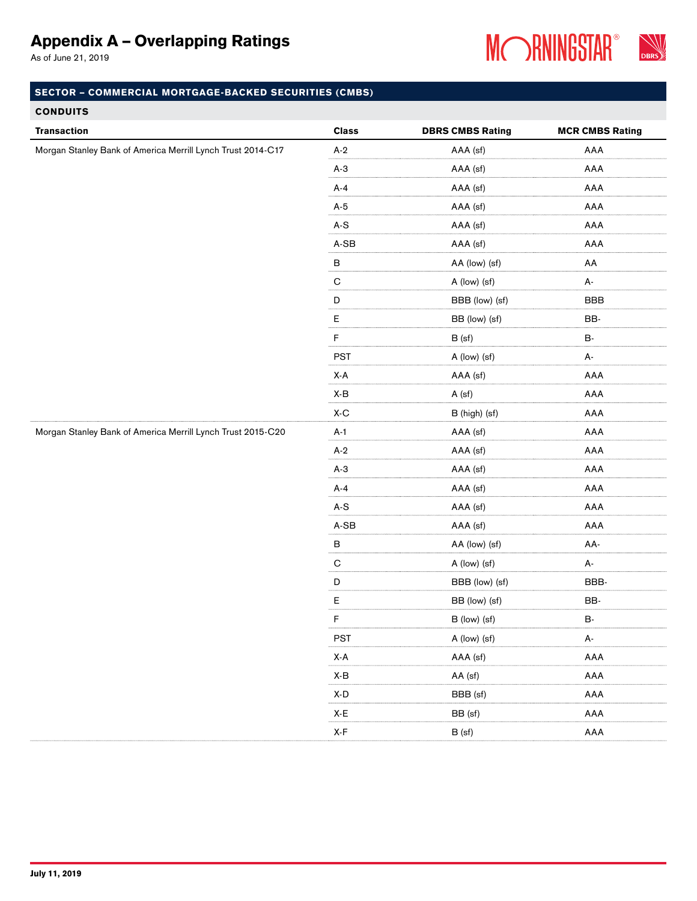As of June 21, 2019



| <b>Transaction</b>                                          | <b>Class</b>                                        | <b>DBRS CMBS Rating</b> | <b>MCR CMBS Rating</b> |
|-------------------------------------------------------------|-----------------------------------------------------|-------------------------|------------------------|
| Morgan Stanley Bank of America Merrill Lynch Trust 2014-C17 | $A-2$                                               | AAA (sf)                | AAA                    |
|                                                             | $A-3$                                               | AAA (sf)                | AAA                    |
|                                                             | $A-4$                                               | AAA (sf)                | AAA                    |
|                                                             | $A-5$                                               | AAA (sf)                | AAA                    |
|                                                             | $A-S$                                               | AAA (sf)                | AAA                    |
|                                                             | $A-SB$                                              | AAA (sf)                | AAA                    |
|                                                             | $\overline{B}$                                      | AA (low) (sf)           | AA                     |
|                                                             | $\overline{C}$                                      | A (low) (sf)            | A-                     |
|                                                             | $\mathsf{D}$                                        | BBB (low) (sf)          | <b>BBB</b>             |
|                                                             | $\mathsf{E}% _{0}\left( \mathsf{E}_{0}\right) ^{T}$ | BB (low) (sf)           | BB-                    |
|                                                             | $\mathsf F$                                         | B(sf)                   | <b>B-</b>              |
|                                                             | <b>PST</b>                                          | A (low) (sf)            | A-                     |
|                                                             | X-A                                                 | AAA (sf)                | AAA                    |
|                                                             | X-B                                                 | A (sf)                  | AAA                    |
|                                                             | $X-C$                                               | B (high) (sf)           | AAA                    |
| Morgan Stanley Bank of America Merrill Lynch Trust 2015-C20 | $A-1$                                               | AAA (sf)                | AAA                    |
|                                                             | $A-2$                                               | AAA (sf)                | AAA                    |
|                                                             | $A-3$                                               | AAA (sf)                | AAA                    |
|                                                             | $A-4$                                               | AAA (sf)                | AAA                    |
|                                                             | $\mathsf{A}\text{-}\mathsf{S}$                      | AAA (sf)                | AAA                    |
|                                                             | $A-SB$                                              | AAA (sf)                | AAA                    |
|                                                             | $\sf B$                                             | AA (low) (sf)           | AA-                    |
|                                                             | $\overline{C}$                                      | A (low) (sf)            | A-                     |
|                                                             | $\overline{D}$                                      | BBB (low) (sf)          | BBB-                   |
|                                                             | E                                                   | BB (low) (sf)           | BB-                    |
|                                                             | $\mathsf F$                                         | B (low) (sf)            | <b>B-</b>              |
|                                                             | <b>PST</b>                                          | A (low) (sf)            | А-                     |
|                                                             | X-A                                                 | AAA (sf)                | $\sf AAA$              |
|                                                             | X-B                                                 | AA (sf)                 | AAA                    |
|                                                             | $\mathsf{X}\text{-}\mathsf{D}$                      | BBB (sf)                | AAA                    |
|                                                             | X-E                                                 | BB (sf)                 | AAA                    |
|                                                             | X-F                                                 | B (sf)                  | AAA                    |
|                                                             |                                                     |                         |                        |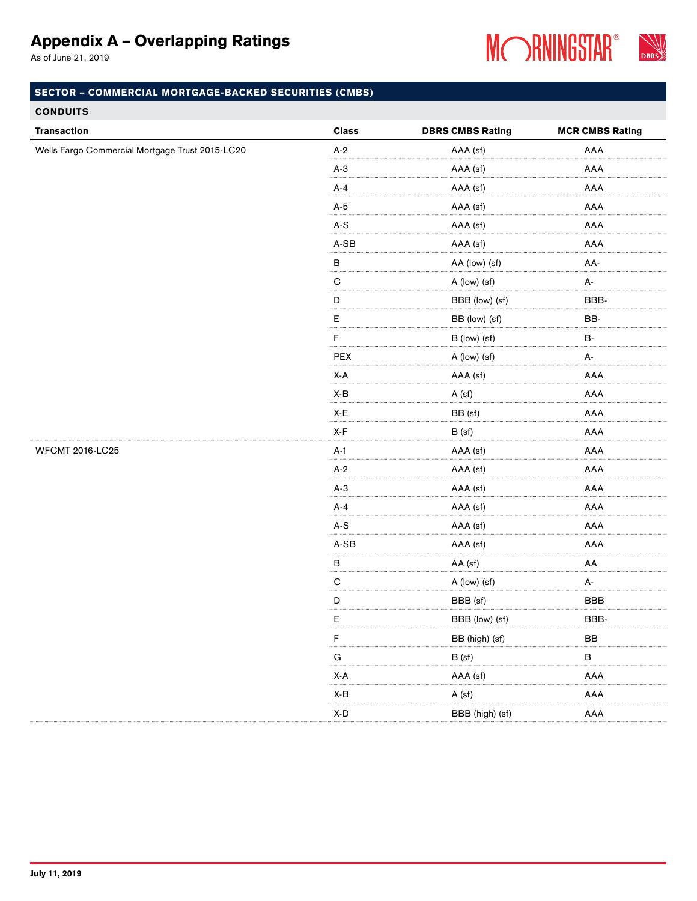As of June 21, 2019



| <b>CONDUITS</b>                                 |                                |                         |                        |
|-------------------------------------------------|--------------------------------|-------------------------|------------------------|
| <b>Transaction</b>                              | <b>Class</b>                   | <b>DBRS CMBS Rating</b> | <b>MCR CMBS Rating</b> |
| Wells Fargo Commercial Mortgage Trust 2015-LC20 | $A-2$                          | AAA (sf)                | AAA                    |
|                                                 | $A-3$                          | AAA (sf)                | AAA                    |
|                                                 | $A-4$                          | AAA (sf)                | AAA                    |
|                                                 | $A-5$                          | AAA (sf)                | AAA                    |
|                                                 | $A-S$                          | AAA (sf)                | AAA                    |
|                                                 | $A-SB$                         | AAA (sf)                | AAA                    |
|                                                 | $\sf B$                        | AA (low) (sf)           | AA-                    |
|                                                 | $\overline{C}$                 | A (low) (sf)            | А-                     |
|                                                 | $\overline{D}$                 | BBB (low) (sf)          | BBB-                   |
|                                                 | $\mathsf E$                    | BB (low) (sf)           | BB-                    |
|                                                 | $\mathsf F$                    | B (low) (sf)            | <b>B-</b>              |
|                                                 | PEX                            | A (low) (sf)            | А-                     |
|                                                 | X-A                            | AAA (sf)                | AAA                    |
|                                                 | X-B                            | A (sf)                  | AAA                    |
|                                                 | $\mathsf{X}\text{-}\mathsf{E}$ | BB (sf)                 | AAA                    |
|                                                 | X-F                            | B (sf)                  | AAA                    |
| <b>WFCMT 2016-LC25</b>                          | $A-1$                          | AAA (sf)                | AAA                    |
|                                                 | $A-2$                          | AAA (sf)                | AAA                    |
|                                                 | $A-3$                          | AAA (sf)                | AAA                    |
|                                                 | $A-4$                          | AAA (sf)                | AAA                    |
|                                                 | $\mathsf{A}\text{-}\mathsf{S}$ | AAA (sf)                | AAA                    |
|                                                 | $A-SB$                         | AAA (sf)                | AAA                    |
|                                                 | $\sf B$                        | AA (sf)                 | AA                     |
|                                                 | $\overline{C}$                 | A (low) (sf)            | А-                     |
|                                                 | $\mathsf D$                    | BBB (sf)                | <b>BBB</b>             |
|                                                 | E                              | BBB (low) (sf)          | BBB-                   |
|                                                 | F                              | BB (high) (sf)          | ${\sf BB}$             |
|                                                 | $\mathsf{G}$                   | B (sf)                  | $\, {\bf B} \,$        |
|                                                 | $X-A$                          | AAA (sf)                | AAA                    |
|                                                 | X-B                            | A (sf)                  | AAA                    |
|                                                 | $\mathsf{X}\text{-}\mathsf{D}$ | BBB (high) (sf)         | AAA                    |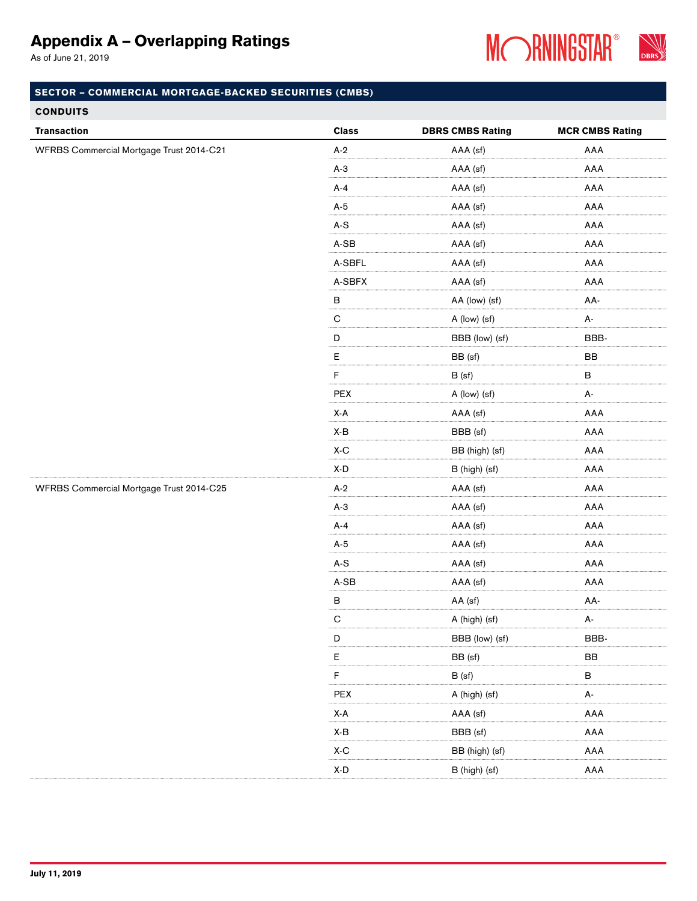As of June 21, 2019



| <b>Transaction</b>                       | <b>Class</b> | <b>DBRS CMBS Rating</b> | <b>MCR CMBS Rating</b> |
|------------------------------------------|--------------|-------------------------|------------------------|
| WFRBS Commercial Mortgage Trust 2014-C21 | $A-2$        | AAA (sf)                | AAA                    |
|                                          | $A-3$        | AAA (sf)                | AAA                    |
|                                          | $A-4$        | AAA (sf)                | AAA                    |
|                                          | $A-5$        | AAA (sf)                | AAA                    |
|                                          | $A-S$        | AAA (sf)                | AAA                    |
|                                          | $A-SB$       | AAA (sf)                | AAA                    |
|                                          | A-SBFL       | AAA (sf)                | AAA                    |
|                                          | A-SBFX       | AAA (sf)                | AAA                    |
|                                          | $\sf B$      | AA (low) (sf)           | AA-                    |
|                                          | ${\bf C}$    | A (low) (sf)            | A-                     |
|                                          | $\mathsf D$  | BBB (low) (sf)          | BBB-                   |
|                                          | $\mathsf E$  | BB (sf)                 | BB                     |
|                                          | F            | B (sf)                  | $\, {\sf B}$           |
|                                          | PEX          | A (low) (sf)            | А-                     |
|                                          | X-A          | AAA (sf)                | AAA                    |
|                                          | X-B          | BBB (sf)                | AAA                    |
|                                          | X-C          | BB (high) (sf)          | AAA                    |
|                                          | X-D          | B (high) (sf)           | AAA                    |
| WFRBS Commercial Mortgage Trust 2014-C25 | $A-2$        | AAA (sf)                | AAA                    |
|                                          | $A-3$        | AAA (sf)                | AAA                    |
|                                          | $A-4$        | AAA (sf)                | AAA                    |
|                                          | $A-5$        | AAA (sf)                | AAA                    |
|                                          | $A-S$        | AAA (sf)                | AAA                    |
|                                          | $A-SB$       | AAA (sf)                | AAA                    |
|                                          | $\sf B$      | AA (sf)                 | AA-                    |
|                                          | $\mathsf C$  | A (high) (sf)           | А-                     |
|                                          | $\mathsf D$  | BBB (low) (sf)          | BBB-                   |
|                                          | $\mathsf E$  | BB (sf)                 | $_{\rm BB}$            |
|                                          | $\mathsf F$  | B (sf)                  | $\, {\bf B}$           |
|                                          | PEX          | A (high) (sf)           | А-                     |
|                                          | X-A          | AAA (sf)                | AAA                    |
|                                          | X-B          | BBB (sf)                | AAA                    |
|                                          | X-C          | BB (high) (sf)          | AAA                    |
|                                          | X-D          | B (high) (sf)           | AAA                    |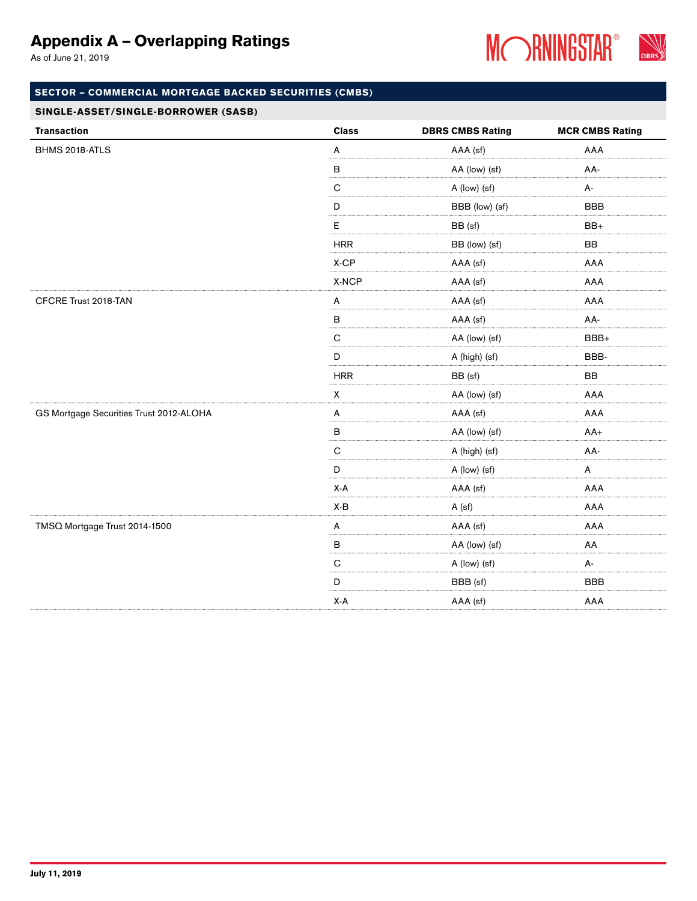As of June 21, 2019



### SECTOR – COMMERCIAL MORTGAGE BACKED SECURITIES (CMBS)

#### SINGLE-ASSET/SINGLE-BORROWER (SASB)

| <b>Transaction</b>                      | <b>Class</b>       | <b>DBRS CMBS Rating</b> | <b>MCR CMBS Rating</b> |
|-----------------------------------------|--------------------|-------------------------|------------------------|
| BHMS 2018-ATLS                          | $\mathsf{A}$       | AAA (sf)                | AAA                    |
|                                         | $\sf B$            | AA (low) (sf)           | AA-                    |
|                                         | ${\bf C}$          | A (low) (sf)            | A-                     |
|                                         | $\mathsf D$        | BBB (low) (sf)          | <b>BBB</b>             |
|                                         | $\mathsf E$        | BB (sf)                 | BB+                    |
|                                         | <b>HRR</b>         | BB (low) (sf)           | BB                     |
|                                         | $X$ -CP            | AAA (sf)                | AAA                    |
|                                         | X-NCP              | AAA (sf)                | AAA                    |
| CFCRE Trust 2018-TAN                    | A                  | AAA (sf)                | AAA                    |
|                                         | $\, {\bf B}$       | AAA (sf)                | AA-                    |
|                                         | $\mathbf C$        | AA (low) (sf)           | BBB+                   |
|                                         | $\mathsf D$        | A (high) (sf)           | BBB-                   |
|                                         | <b>HRR</b>         | BB (sf)                 | BB                     |
|                                         | $\pmb{\mathsf{X}}$ | AA (low) (sf)           | AAA                    |
| GS Mortgage Securities Trust 2012-ALOHA | A                  | AAA (sf)                | AAA                    |
|                                         | $\sf B$            | AA (low) (sf)           | $AA+$                  |
|                                         | $\mathbf C$        | A (high) (sf)           | AA-                    |
|                                         | $\mathsf D$        | A (low) (sf)            | A                      |
|                                         | X-A                | AAA (sf)                | AAA                    |
|                                         | X-B                | A (sf)                  | AAA                    |
| TMSQ Mortgage Trust 2014-1500           | $\mathsf{A}$       | AAA (sf)                | AAA                    |
|                                         | $\sf B$            | AA (low) (sf)           | AA                     |
|                                         | $\overline{C}$     | A (low) (sf)            | А-                     |
|                                         | $\mathsf D$        | BBB (sf)                | <b>BBB</b>             |
|                                         | X-A                | AAA (sf)                | AAA                    |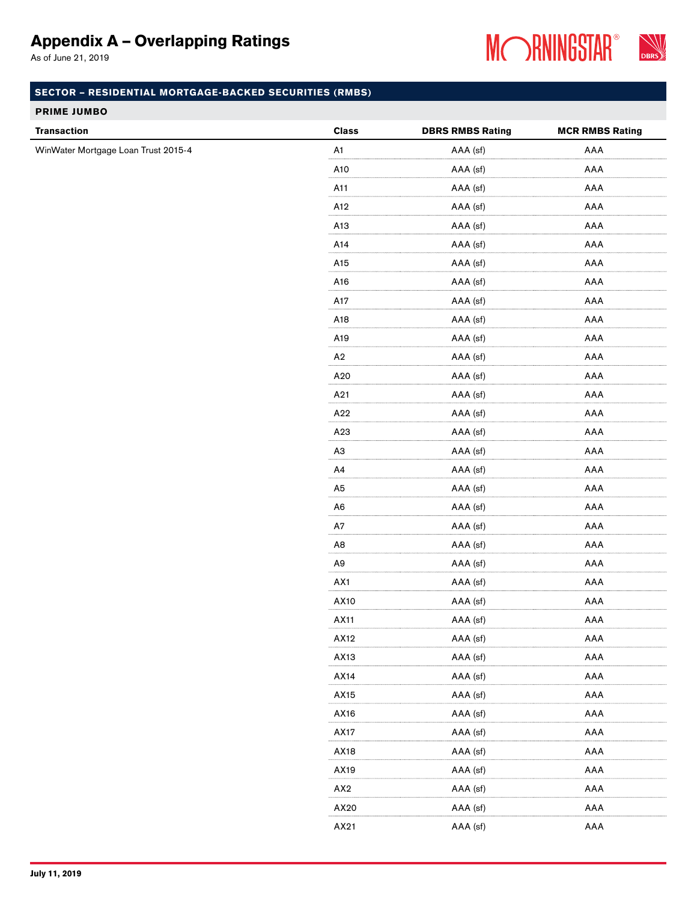As of June 21, 2019



### SECTOR – RESIDENTIAL MORTGAGE-BACKED SECURITIES (RMBS)

#### PRIME JUMBO

|                                                           | <b>Class</b>   | <b>DBRS RMBS Rating</b> | <b>MCR RMBS Rating</b> |
|-----------------------------------------------------------|----------------|-------------------------|------------------------|
| <b>Transaction</b><br>WinWater Mortgage Loan Trust 2015-4 | A1             | AAA (sf)                | AAA                    |
|                                                           | A10            | AAA (sf)                | AAA                    |
|                                                           | A11            | AAA (sf)                | AAA                    |
|                                                           | A12            | AAA (sf)                | AAA                    |
|                                                           | A13            | AAA (sf)                | AAA                    |
|                                                           | A14            | AAA (sf)                | AAA                    |
|                                                           | A15            | AAA (sf)                | AAA                    |
|                                                           | A16            | AAA (sf)                | AAA                    |
|                                                           | A17            | AAA (sf)                | AAA                    |
|                                                           | A18            | AAA (sf)                | AAA                    |
|                                                           | A19            | AAA (sf)                | AAA                    |
|                                                           | A <sub>2</sub> | AAA (sf)                | AAA                    |
|                                                           | A20            | AAA (sf)                | AAA                    |
|                                                           | A21            | AAA (sf)                | AAA                    |
|                                                           | A22            | AAA (sf)                | AAA                    |
|                                                           | A23            | AAA (sf)                | AAA                    |
|                                                           | A <sub>3</sub> | AAA (sf)                | AAA                    |
|                                                           | A4             | AAA (sf)                | AAA                    |
|                                                           | A <sub>5</sub> | AAA (sf)                | AAA                    |
|                                                           | A <sub>6</sub> | AAA (sf)                | AAA                    |
|                                                           | A7             | AAA (sf)                | AAA                    |
|                                                           | A <sub>8</sub> | AAA (sf)                | AAA                    |
|                                                           | A <sub>9</sub> | AAA (sf)                | AAA                    |
|                                                           | AX1            | AAA (sf)                | AAA                    |
|                                                           | AX10           | AAA (sf)                | AAA                    |
|                                                           | AX11           | AAA (sf)                | AAA                    |
|                                                           | AX12           | AAA (sf)                | AAA                    |
|                                                           | AX13           | AAA (sf)                | AAA                    |
|                                                           | AX14           | AAA (sf)                | AAA                    |
|                                                           | AX15           | AAA (sf)                | AAA                    |
|                                                           | AX16           | AAA (sf)                | AAA                    |
|                                                           | AX17           | AAA (sf)                | AAA                    |
|                                                           | AX18           | AAA (sf)                | AAA                    |
|                                                           | AX19           | AAA (sf)                | AAA                    |
|                                                           | AX2            | AAA (sf)                | AAA                    |
|                                                           | AX20           | AAA (sf)                | AAA                    |
|                                                           | AX21           | AAA (sf)                | AAA                    |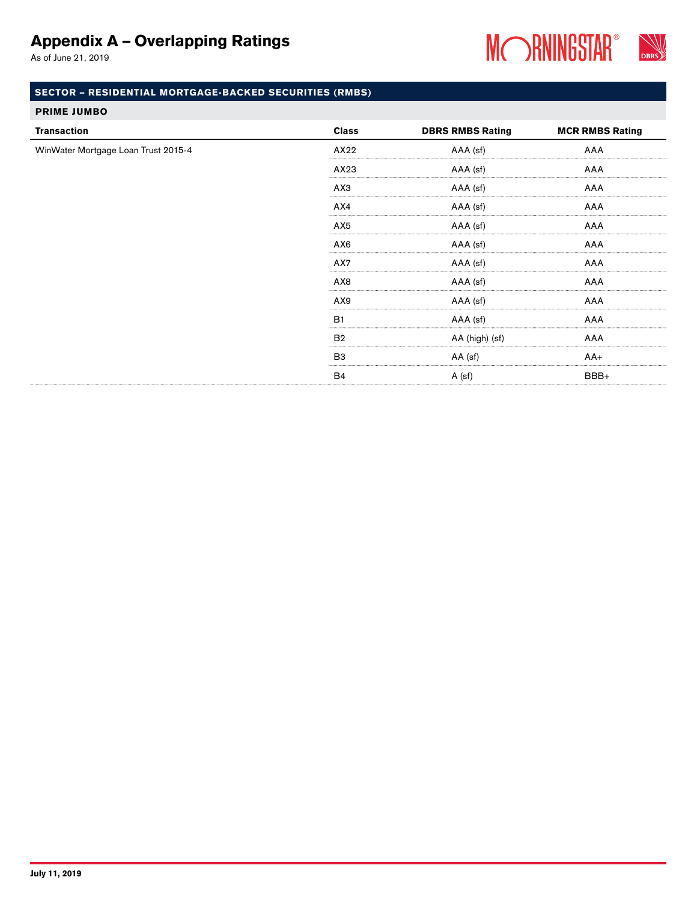As of June 21, 2019



## SECTOR – RESIDENTIAL MORTGAGE-BACKED SECURITIES (RMBS)

#### PRIME JUMBO

| <b>Transaction</b>                  | <b>Class</b>   | <b>DBRS RMBS Rating</b> | <b>MCR RMBS Rating</b> |
|-------------------------------------|----------------|-------------------------|------------------------|
| WinWater Mortgage Loan Trust 2015-4 | AX22           | AAA (sf)                | AAA                    |
|                                     | AX23           | AAA (sf)                | AAA                    |
|                                     | АХЗ            | AAA (sf)                | AAA                    |
|                                     | AX4            | AAA (sf)                | AAA                    |
|                                     | AX5            | AAA (sf)                | AAA                    |
|                                     | AX6            | AAA (sf)                | AAA                    |
|                                     | AX7            | AAA (sf)                | AAA                    |
|                                     | AX8            | AAA (sf)                | AAA                    |
|                                     | AX9            | AAA (sf)                | AAA                    |
|                                     | <b>B1</b>      | AAA (sf)                | AAA                    |
|                                     | B <sub>2</sub> | AA (high) (sf)          | AAA                    |
|                                     | B <sub>3</sub> | AA (sf)                 | $AA+$                  |
|                                     | <b>B4</b>      | A (sf)                  | BBB+                   |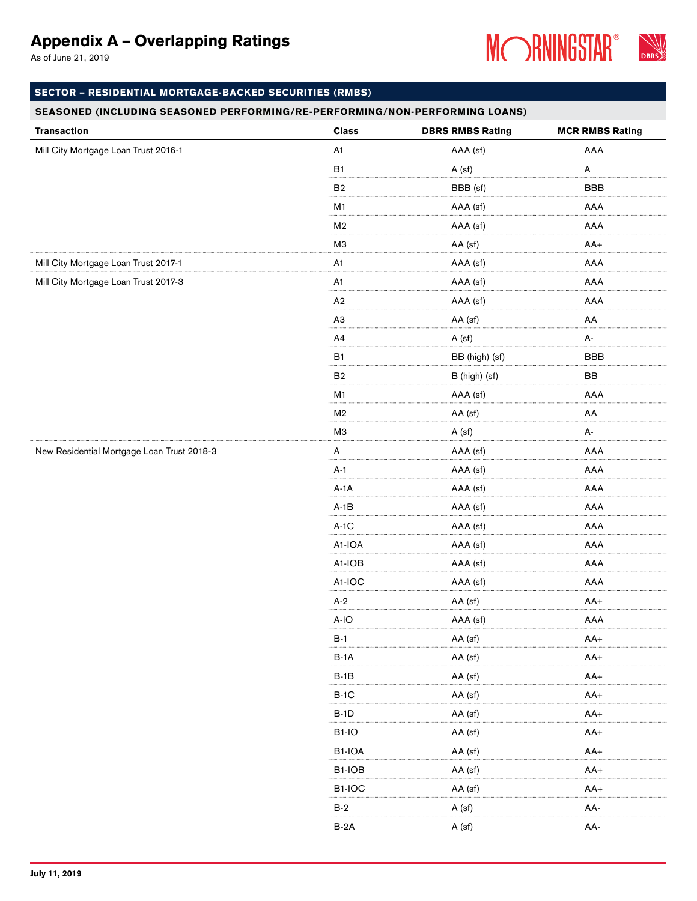As of June 21, 2019



### SECTOR – RESIDENTIAL MORTGAGE-BACKED SECURITIES (RMBS)

| <b>Transaction</b>                         | <b>Class</b>   | <b>DBRS RMBS Rating</b> | <b>MCR RMBS Rating</b> |
|--------------------------------------------|----------------|-------------------------|------------------------|
| Mill City Mortgage Loan Trust 2016-1       | A <sub>1</sub> | AAA (sf)                | AAA                    |
|                                            | <b>B1</b>      | A (sf)                  | A                      |
|                                            | ${\sf B2}$     | BBB (sf)                | <b>BBB</b>             |
|                                            | M1             | AAA (sf)                | AAA                    |
|                                            | M <sub>2</sub> | AAA (sf)                | AAA                    |
|                                            | МЗ             | AA (sf)                 | $AA+$                  |
| Mill City Mortgage Loan Trust 2017-1       | A <sub>1</sub> | AAA (sf)                | AAA                    |
| Mill City Mortgage Loan Trust 2017-3       | A <sub>1</sub> | AAA (sf)                | AAA                    |
|                                            | A2             | AAA (sf)                | AAA                    |
|                                            | A3             | AA (sf)                 | AA                     |
|                                            | A4             | A (sf)                  | А-                     |
|                                            | B <sub>1</sub> | BB (high) (sf)          | <b>BBB</b>             |
|                                            | B <sub>2</sub> | B (high) (sf)           | BB                     |
|                                            | M1             | AAA (sf)                | AAA                    |
|                                            | M <sub>2</sub> | AA (sf)                 | AA                     |
|                                            | МЗ             | A (sf)                  | А-                     |
| New Residential Mortgage Loan Trust 2018-3 | A              | AAA (sf)                | AAA                    |
|                                            | $A-1$          | AAA (sf)                | AAA                    |
|                                            | $A-1A$         | AAA (sf)                | AAA                    |
|                                            | $A-1B$         | AAA (sf)                | AAA                    |
|                                            | $A-1C$         | AAA (sf)                | AAA                    |
|                                            | A1-IOA         | AAA (sf)                | AAA                    |
|                                            | A1-IOB         | AAA (sf)                | AAA                    |
|                                            | A1-IOC         | AAA (sf)                | AAA                    |
|                                            | $A-2$          | AA (sf)                 | $AA+$                  |
|                                            | A-IO           | AAA (sf)                | AAA                    |
|                                            | $B-1$          | AA (sf)                 | $AA+$                  |
|                                            | $B-1A$         | AA (sf)                 | $AA+$                  |
|                                            | $B-1B$         | AA (sf)                 | $AA+$                  |
|                                            | $B-1C$         | AA (sf)                 | $AA+$                  |
|                                            | $B-1D$         | AA (sf)                 | $AA+$                  |
|                                            | $B1-IO$        | AA (sf)                 | $AA+$                  |
|                                            | B1-IOA         | AA (sf)                 | $AA+$                  |
|                                            | B1-IOB         | AA (sf)                 | $AA+$                  |
|                                            | B1-IOC         | AA (sf)                 | AA+                    |
|                                            | $B-2$          | A (sf)                  | AA-                    |
|                                            | $B-2A$         | A (sf)                  | AA-                    |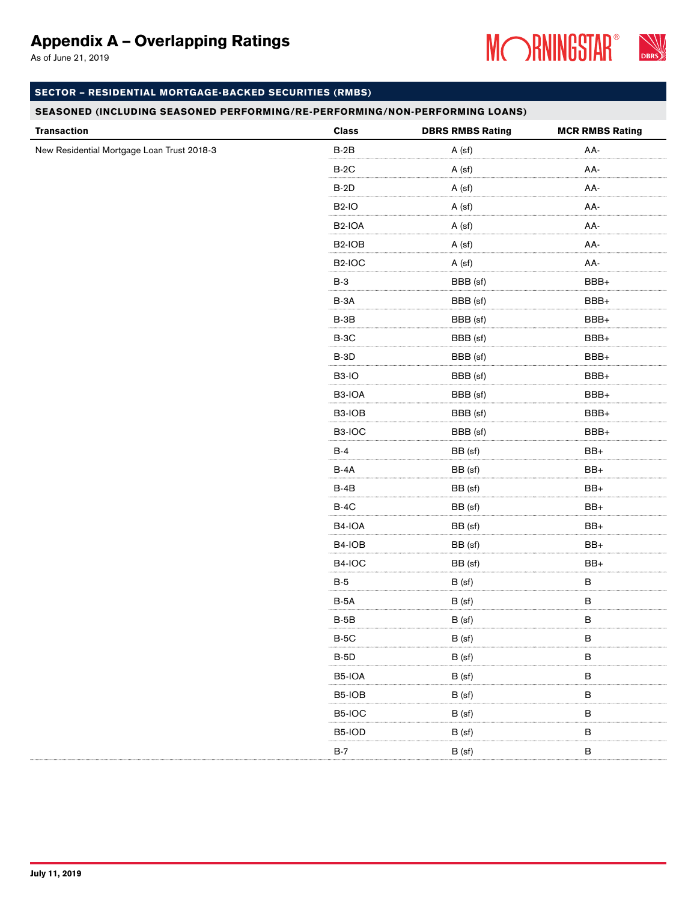As of June 21, 2019



### SECTOR – RESIDENTIAL MORTGAGE-BACKED SECURITIES (RMBS)

| <b>Transaction</b>                         | <b>Class</b>        | <b>DBRS RMBS Rating</b> | <b>MCR RMBS Rating</b> |
|--------------------------------------------|---------------------|-------------------------|------------------------|
| New Residential Mortgage Loan Trust 2018-3 | $B-2B$              | A (sf)                  | AA-                    |
|                                            | $B-2C$              | A (sf)                  | AA-                    |
|                                            | $B-2D$              | A (sf)                  | AA-                    |
|                                            | <b>B2-IO</b>        | A (sf)                  | AA-                    |
|                                            | B <sub>2</sub> -IOA | A (sf)                  | AA-                    |
|                                            | B <sub>2</sub> -IOB | A (sf)                  | AA-                    |
|                                            | B <sub>2</sub> -IOC | A (sf)                  | AA-                    |
|                                            | $B-3$               | BBB (sf)                | BBB+                   |
|                                            | $B-3A$              | BBB (sf)                | BBB+                   |
|                                            | $B-3B$              | BBB (sf)                | BBB+                   |
|                                            | $B-3C$              | BBB (sf)                | BBB+                   |
|                                            | <b>B-3D</b>         | BBB (sf)                | BBB+                   |
|                                            | B <sub>3</sub> -IO  | BBB (sf)                | BBB+                   |
|                                            | B3-IOA              | BBB (sf)                | BBB+                   |
|                                            | B3-IOB              | BBB (sf)                | BBB+                   |
|                                            | B3-IOC              | BBB (sf)                | BBB+                   |
|                                            | $B-4$               | BB (sf)                 | $BB+$                  |
|                                            | B-4A                | BB (sf)                 | $\mathsf{BB}+$         |
|                                            | $B-4B$              | BB (sf)                 | $BB+$                  |
|                                            | $B-4C$              | BB (sf)                 | $BB+$                  |
|                                            | B4-IOA              | BB (sf)                 | $BB+$                  |
|                                            | B4-IOB              | BB (sf)                 | $BB+$                  |
|                                            | B4-IOC              | BB (sf)                 | $\mathsf{BB}+$         |
|                                            | $B-5$               | B (sf)                  | $\, {\bf B}$           |
|                                            | $B-5A$              | B (sf)                  | $\, {\bf B}$           |
|                                            | $B-5B$              | B (sf)                  | $\, {\bf B}$           |
|                                            | $B-5C$              | B (sf)                  | $\sf B$                |
|                                            | $B-5D$              | B (sf)                  | $\, {\bf B}$           |
|                                            | B5-IOA              | B (sf)                  | $\, {\bf B}$           |
|                                            | B5-IOB              | B (sf)                  | $\sf B$                |
|                                            | B5-IOC              | B (sf)                  | $\, {\bf B}$           |
|                                            | B5-IOD              | B(sf)                   | $\sf B$                |
|                                            | $B-7$               | B (sf)                  | $\sf B$                |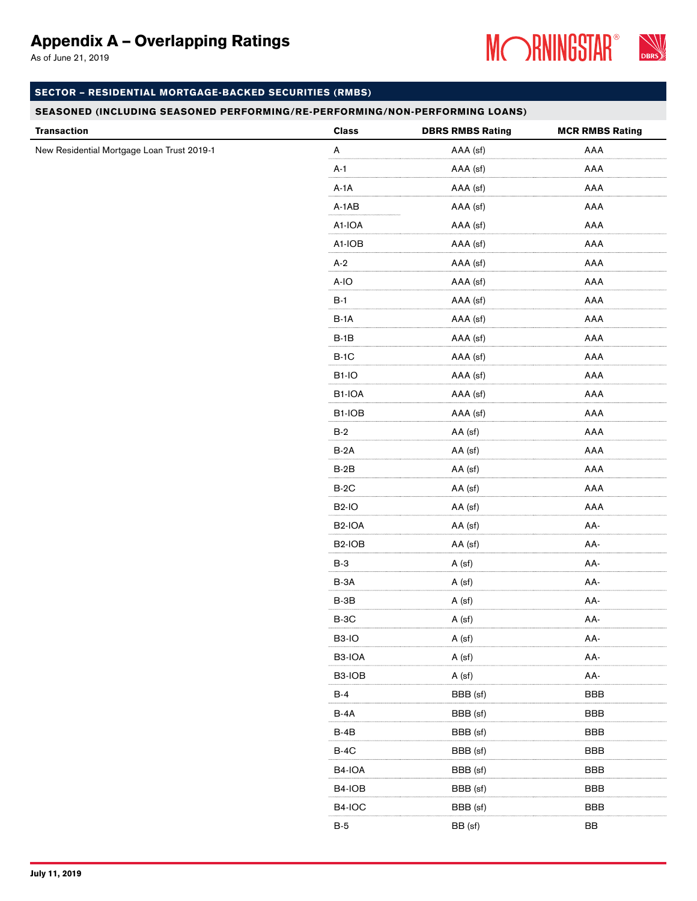As of June 21, 2019



### SECTOR – RESIDENTIAL MORTGAGE-BACKED SECURITIES (RMBS)

| <b>Transaction</b>                         | <b>Class</b>        | <b>DBRS RMBS Rating</b> | <b>MCR RMBS Rating</b> |
|--------------------------------------------|---------------------|-------------------------|------------------------|
| New Residential Mortgage Loan Trust 2019-1 | $\mathsf A$         | AAA (sf)                | AAA                    |
|                                            | $A-1$               | AAA (sf)                | AAA                    |
|                                            | $A-1A$              | AAA (sf)                | AAA                    |
|                                            | $A-1AB$             | AAA (sf)                | AAA                    |
|                                            | A1-IOA              | AAA (sf)                | AAA                    |
|                                            | A1-IOB              | AAA (sf)                | AAA                    |
|                                            | $A-2$               | AAA (sf)                | AAA                    |
|                                            | $A-IO$              | AAA (sf)                | AAA                    |
|                                            | $B-1$               | AAA (sf)                | AAA                    |
|                                            | $B-1A$              | AAA (sf)                | AAA                    |
|                                            | $B-1B$              | AAA (sf)                | AAA                    |
|                                            | $B-1C$              | AAA (sf)                | AAA                    |
|                                            | <b>B1-IO</b>        | AAA (sf)                | AAA                    |
|                                            | B1-IOA              | AAA (sf)                | AAA                    |
|                                            | B1-IOB              | AAA (sf)                | AAA                    |
|                                            | $B-2$               | AA (sf)                 | AAA                    |
|                                            | $B-2A$              | AA (sf)                 | AAA                    |
|                                            | $B-2B$              | AA (sf)                 | AAA                    |
|                                            | $B-2C$              | AA (sf)                 | AAA                    |
|                                            | <b>B2-IO</b>        | AA (sf)                 | AAA                    |
|                                            | B <sub>2</sub> -IOA | AA (sf)                 | AA-                    |
|                                            | B <sub>2</sub> -IOB | AA (sf)                 | AA-                    |
|                                            | $B-3$               | A (sf)                  | AA-                    |
|                                            | B-3A                | A (sf)                  | AA-                    |
|                                            | $B-3B$              | A (sf)                  | AA-                    |
|                                            | $B-3C$              | A (sf)                  | AA-                    |
|                                            | <b>B3-IO</b>        | A (sf)                  | AA-                    |
|                                            | B3-IOA              | A (sf)                  | AA-                    |
|                                            | B3-IOB              | A (sf)                  | AA-                    |
|                                            | $B-4$               | BBB (sf)                | <b>BBB</b>             |
|                                            | <b>B-4A</b>         | BBB (sf)                | <b>BBB</b>             |
|                                            | $B-4B$              | BBB (sf)                | <b>BBB</b>             |
|                                            | $B-4C$              | BBB (sf)                | <b>BBB</b>             |
|                                            | B4-IOA              | BBB (sf)                | <b>BBB</b>             |
|                                            | B4-IOB              | BBB (sf)                | <b>BBB</b>             |
|                                            | <b>B4-IOC</b>       | BBB (sf)                | <b>BBB</b>             |
|                                            | $B-5$               | BB (sf)                 | BB                     |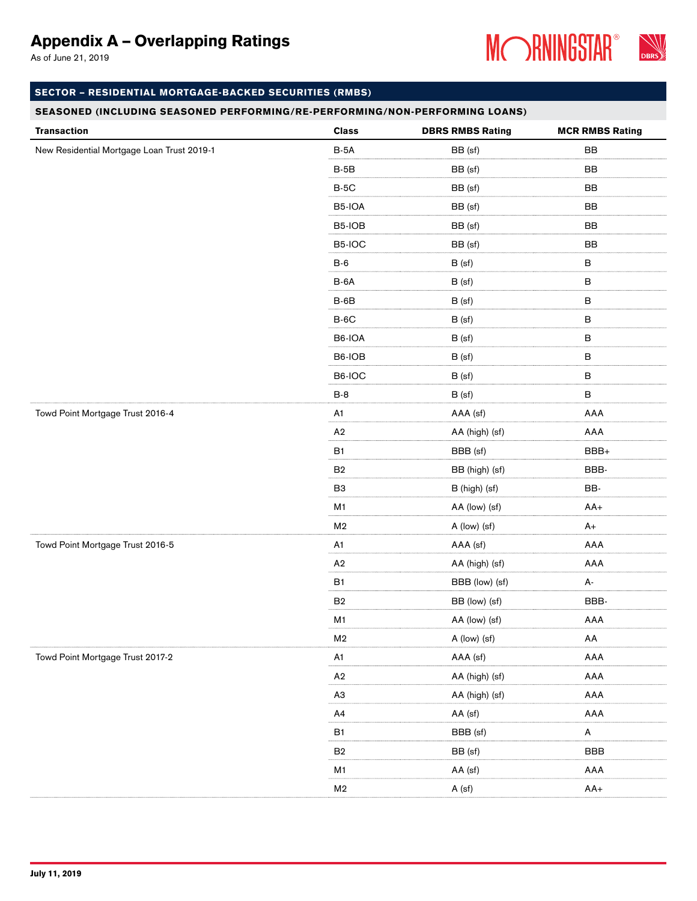As of June 21, 2019



### SECTOR – RESIDENTIAL MORTGAGE-BACKED SECURITIES (RMBS)

| <b>Transaction</b>                         | <b>Class</b>   | <b>DBRS RMBS Rating</b> | <b>MCR RMBS Rating</b> |
|--------------------------------------------|----------------|-------------------------|------------------------|
| New Residential Mortgage Loan Trust 2019-1 | $B-5A$         | BB (sf)                 | BB                     |
|                                            | $B-5B$         | BB (sf)                 | BB                     |
|                                            | $B-5C$         | BB (sf)                 | BB                     |
|                                            | B5-IOA         | BB (sf)                 | BB                     |
|                                            | B5-IOB         | BB (sf)                 | BB                     |
|                                            | B5-IOC         | BB (sf)                 | BB                     |
|                                            | $B-6$          | B (sf)                  | $\, {\bf B}$           |
|                                            | B-6A           | B (sf)                  | $\, {\bf B}$           |
|                                            | $B-6B$         | B (sf)                  | $\, {\bf B}$           |
|                                            | $B-6C$         | B (sf)                  | $\, {\bf B}$           |
|                                            | B6-IOA         | B (sf)                  | $\, {\bf B}$           |
|                                            | B6-IOB         | B (sf)                  | $\, {\bf B}$           |
|                                            | B6-IOC         | B (sf)                  | $\, {\bf B}$           |
|                                            | $B-8$          | B (sf)                  | $\, {\bf B}$           |
| Towd Point Mortgage Trust 2016-4           | A <sub>1</sub> | AAA (sf)                | AAA                    |
|                                            | A2             | AA (high) (sf)          | AAA                    |
|                                            | B <sub>1</sub> | BBB (sf)                | BBB+                   |
|                                            | B <sub>2</sub> | BB (high) (sf)          | BBB-                   |
|                                            | B <sub>3</sub> | B (high) (sf)           | BB-                    |
|                                            | M1             | AA (low) (sf)           | $AA+$                  |
|                                            | M <sub>2</sub> | A (low) (sf)            | $A+$                   |
| Towd Point Mortgage Trust 2016-5           | A1             | AAA (sf)                | AAA                    |
|                                            | A <sub>2</sub> | AA (high) (sf)          | AAA                    |
|                                            | <b>B1</b>      | BBB (low) (sf)          | А-                     |
|                                            | B <sub>2</sub> | BB (low) (sf)           | BBB-                   |
|                                            | M <sub>1</sub> | AA (low) (sf)           | AAA                    |
|                                            | M <sub>2</sub> | A (low) (sf)            | AA                     |
| Towd Point Mortgage Trust 2017-2           | A1             | AAA (sf)                | AAA                    |
|                                            | A2             | AA (high) (sf)          | AAA                    |
|                                            | A <sub>3</sub> | AA (high) (sf)          | AAA                    |
|                                            | A4             | AA (sf)                 | AAA                    |
|                                            | <b>B1</b>      | BBB (sf)                | A                      |
|                                            | B <sub>2</sub> | BB (sf)                 | <b>BBB</b>             |
|                                            | M <sub>1</sub> | AA (sf)                 | AAA                    |
|                                            | M <sub>2</sub> | A (sf)                  | $AA+$                  |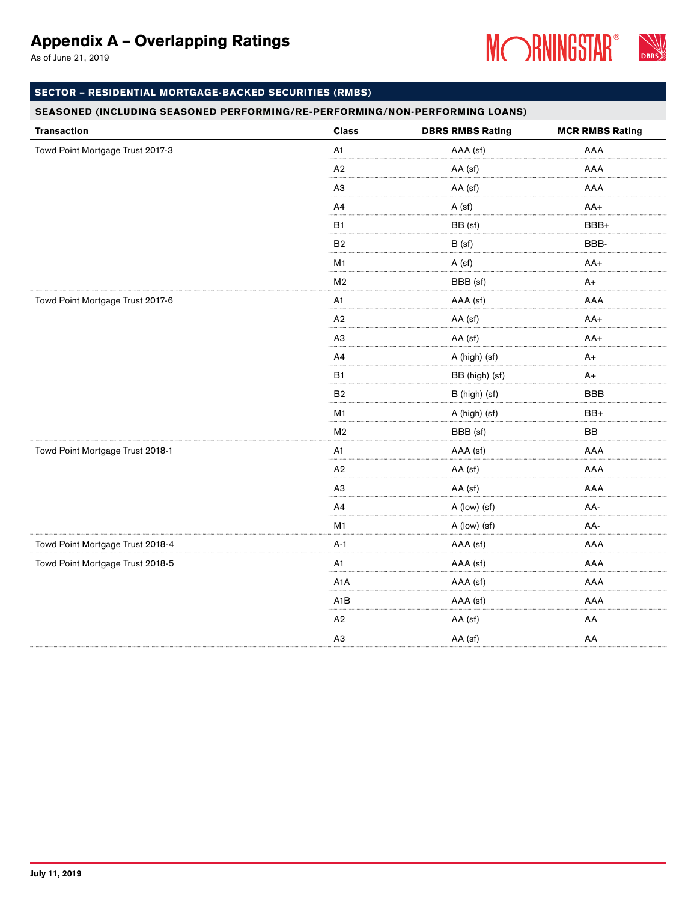As of June 21, 2019



### SECTOR – RESIDENTIAL MORTGAGE-BACKED SECURITIES (RMBS)

| <b>Transaction</b>               | <b>Class</b>     | <b>DBRS RMBS Rating</b> | <b>MCR RMBS Rating</b> |
|----------------------------------|------------------|-------------------------|------------------------|
| Towd Point Mortgage Trust 2017-3 | A1               | AAA (sf)                | AAA                    |
|                                  | A2               | AA (sf)                 | AAA                    |
|                                  | A <sub>3</sub>   | AA (sf)                 | AAA                    |
|                                  | A4               | A (sf)                  | $AA+$                  |
|                                  | <b>B1</b>        | BB (sf)                 | BBB+                   |
|                                  | B2               | B (sf)                  | BBB-                   |
|                                  | M1               | A (sf)                  | $AA+$                  |
|                                  | M <sub>2</sub>   | BBB (sf)                | $A+$                   |
| Towd Point Mortgage Trust 2017-6 | A <sub>1</sub>   | AAA (sf)                | AAA                    |
|                                  | A2               | AA (sf)                 | $AA+$                  |
|                                  | A <sub>3</sub>   | AA (sf)                 | $AA+$                  |
|                                  | A4               | A (high) (sf)           | $A+$                   |
|                                  | <b>B1</b>        | BB (high) (sf)          | $A+$                   |
|                                  | B2               | B (high) (sf)           | <b>BBB</b>             |
|                                  | M1               | A (high) (sf)           | BB+                    |
|                                  | M <sub>2</sub>   | BBB (sf)                | BB                     |
| Towd Point Mortgage Trust 2018-1 | A1               | AAA (sf)                | AAA                    |
|                                  | A2               | AA (sf)                 | AAA                    |
|                                  | A <sub>3</sub>   | AA (sf)                 | AAA                    |
|                                  | A4               | A (low) (sf)            | AA-                    |
|                                  | M1               | A (low) (sf)            | AA-                    |
| Towd Point Mortgage Trust 2018-4 | $A-1$            | AAA (sf)                | AAA                    |
| Towd Point Mortgage Trust 2018-5 | A1               | AAA (sf)                | AAA                    |
|                                  | A <sub>1</sub> A | AAA (sf)                | AAA                    |
|                                  | A <sub>1</sub> B | AAA (sf)                | AAA                    |
|                                  | A <sub>2</sub>   | AA (sf)                 | AA                     |
|                                  | A3               | AA (sf)                 | AA                     |